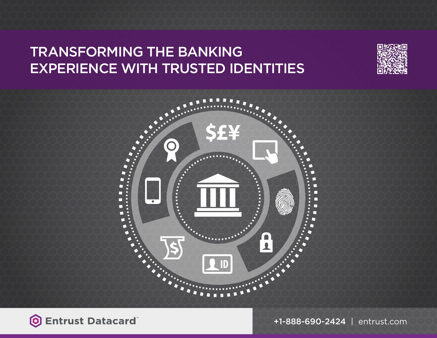## TRANSFORMING THE BANKING EXPERIENCE WITH TRUSTED IDENTITIES







+1-888-690-2424 | [entrust.com](http://www.entrust.com)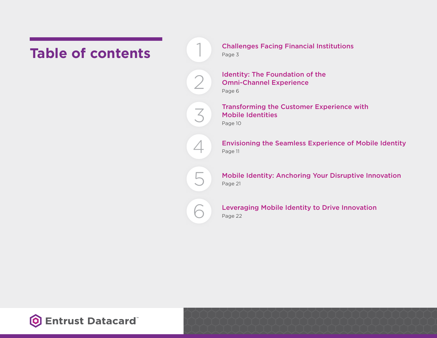## **Table of contents**

Challenges Facing Financial Institutions Page 3

Identity: The Foundation of the Omni-Channel Experience Page 6

1

2

3

4

5

6

Transforming the Customer Experience with Mobile Identities Page 10

Envisioning the Seamless Experience of Mobile Identity Page 11

Mobile Identity: Anchoring Your Disruptive Innovation Page 21

Leveraging Mobile Identity to Drive Innovation Page 22

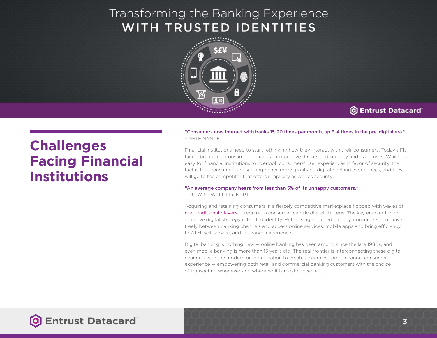### Transforming the Banking Experience WITH TRUSTED IDENTITIES



#### **Solution** Entrust Datacard<sup>®</sup>

## **Challenges Facing Financial Institutions**

"Consumers now interact with banks 15-20 times per month, up 3-4 times in the pre-digital era." – NETFINANCE

Financial Institutions need to start rethinking how they interact with their consumers. Today's FIs face a breadth of consumer demands, competitive threats and security and fraud risks. While it's easy for financial institutions to overlook consumers' user experiences in favor of security, the fact is that consumers are seeking richer, more gratifying digital banking experiences, and they will go to the competitor that offers simplicity as well as security.

#### "An average company hears from less than 5% of its unhappy customers."

– RUBY NEWELL‑LEGNERT

Acquiring and retaining consumers in a fiercely competitive marketplace flooded with waves of non-traditional players — requires a consumer-centric digital strategy. The key enabler for an effective digital strategy is trusted identity. With a single trusted identity, consumers can move freely between banking channels and access online services, mobile apps and bring efficiency to ATM, self-service, and in-branch experiences.

Digital banking is nothing new — online banking has been around since the late 1980s, and even mobile banking is more than 15 years old. The real frontier is interconnecting these digital channels with the modern branch location to create a seamless omni-channel consumer experience — empowering both retail and commercial banking customers with the choice of transacting whenever and wherever it is most convenient.

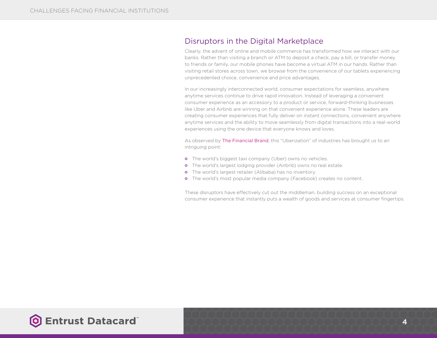### Disruptors in the Digital Marketplace

Clearly, the advent of online and mobile commerce has transformed how we interact with our banks. Rather than visiting a branch or ATM to deposit a check, pay a bill, or transfer money to friends or family, our mobile phones have become a virtual ATM in our hands. Rather than visiting retail stores across town, we browse from the convenience of our tablets experiencing unprecedented choice, convenience and price advantages.

In our increasingly interconnected world, consumer expectations for seamless, anywhere anytime services continue to drive rapid innovation. Instead of leveraging a convenient consumer experience as an accessory to a product or service, forward-thinking businesses like Uber and Airbnb are winning on that convenient experience alone. These leaders are creating consumer experiences that fully deliver on instant connections, convenient anywhere anytime services and the ability to move seamlessly from digital transactions into a real-world experiences using the one device that everyone knows and loves.

As observed by The Financial Brand, this "Uberization" of industries has brought us to an intriguing point:

- **O** The world's biggest taxi company (Uber) owns no vehicles.
- **o** The world's largest lodging provider (Airbnb) owns no real estate.
- **O** The world's largest retailer (Alibaba) has no inventory.
- **O** The world's most popular media company (Facebook) creates no content.

These disruptors have effectively cut out the middleman, building success on an exceptional consumer experience that instantly puts a wealth of goods and services at consumer fingertips.

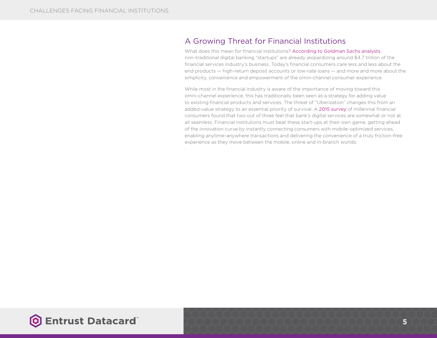### A Growing Threat for Financial Institutions

#### What does this mean for financial institutions? [According to Goldman Sachs analysts](http://www.economist.com/news/special-report/21650290-financial-technology-will-make-banks-more-vulnerable-and-less-profitable-it),

non‑traditional digital banking "startups" are already jeopardizing around \$4.7 trillion of the financial services industry's business. Today's financial consumers care less and less about the end products — high-return deposit accounts or low-rate loans — and more and more about the simplicity, convenience and empowerment of the omni-channel consumer experience.

While most in the financial industry is aware of the importance of moving toward this omni-channel experience, this has traditionally been seen as a strategy for adding value to existing financial products and services. The threat of "Uberization" changes this from an added-value strategy to an essential priority of survival. A [2015 survey](https://www.accenture.com/us-en/insight-consumer-banking-survey.aspx) of millennial financial consumers found that two out of three feel that bank's digital services are somewhat or not at all seamless. Financial institutions must beat these start-ups at their own game, getting ahead of the innovation curve by instantly connecting consumers with mobile-optimized services, enabling anytime-anywhere transactions and delivering the convenience of a truly friction-free experience as they move between the mobile, online and in-branch worlds.

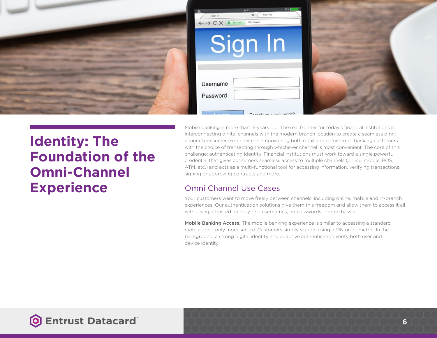

## **Identity: The Foundation of the Omni‑Channel Experience**

Mobile banking is more than 15 years old. The real frontier for today's financial institutions is interconnecting digital channels with the modern branch location to create a seamless omnichannel consumer experience — empowering both retail and commercial banking customers with the choice of transacting through whichever channel is most convenient. The core of this challenge: authenticating identity. Financial institutions must work toward a single powerful credential that gives consumers seamless access to multiple channels (online, mobile, POS, ATM, etc.) and acts as a multi-functional tool for accessing information, verifying transactions, signing or approving contracts and more.

### Omni Channel Use Cases

Your customers want to move freely between channels, including online, mobile and in-branch experiences. Our authentication solutions give them this freedom and allow them to access it all with a single trusted identity - no usernames, no passwords, and no hassle.

Mobile Banking Access. The mobile banking experience is similar to accessing a standard mobile app - only more secure. Customers simply sign on using a PIN or biometric. In the background, a strong digital identity and adaptive authentication verify both user and device identity.

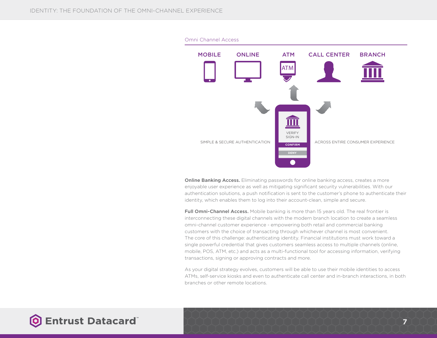

**Online Banking Access.** Eliminating passwords for online banking access, creates a more enjoyable user experience as well as mitigating significant security vulnerabilities. With our authentication solutions, a push notification is sent to the customer's phone to authenticate their identity, which enables them to log into their account-clean, simple and secure.

Full Omni-Channel Access. Mobile banking is more than 15 years old. The real frontier is interconnecting these digital channels with the modern branch location to create a seamless omni‑channel customer experience - empowering both retail and commercial banking customers with the choice of transacting through whichever channel is most convenient. The core of this challenge: authenticating identity. Financial institutions must work toward a single powerful credential that gives customers seamless access to multiple channels (online, mobile, POS, ATM, etc.) and acts as a multi-functional tool for accessing information, verifying transactions, signing or approving contracts and more.

As your digital strategy evolves, customers will be able to use their mobile identities to access ATMs, self-service kiosks and even to authenticate call center and in-branch interactions, in both branches or other remote locations.

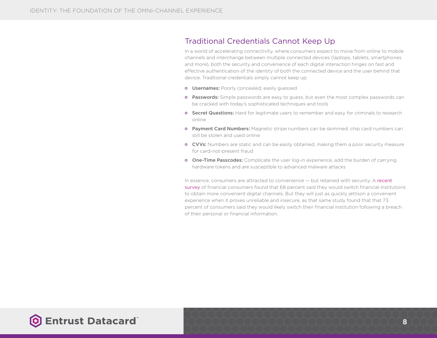### Traditional Credentials Cannot Keep Up

In a world of accelerating connectivity, where consumers expect to move from online to mobile channels and interchange between multiple connected devices (laptops, tablets, smartphones and more), both the security and convenience of each digital interaction hinges on fast and effective authentication of the identity of both the connected device and the user behind that device. Traditional credentials simply cannot keep up:

- **O** Usernames: Poorly concealed; easily guessed
- **o** Passwords: Simple passwords are easy to guess, but even the most complex passwords can be cracked with today's sophisticated techniques and tools
- **O** Secret Questions: Hard for legitimate users to remember and easy for criminals to research online
- **O** Payment Card Numbers: Magnetic stripe numbers can be skimmed; chip card numbers can still be stolen and used online
- **O** CVVs: Numbers are static and can be easily obtained, making them a poor security measure for card-not-present fraud
- **o** One-Time Passcodes: Complicate the user log-in experience, add the burden of carrying hardware tokens and are susceptible to advanced malware attacks

In essence, consumers are attracted to convenience — but retained with security. A [recent](http://blog.ebiquity.com/2015/06/2015-makovsky-wall-street-reputation-study-research-conducted-by-ebiquity)  [survey](http://blog.ebiquity.com/2015/06/2015-makovsky-wall-street-reputation-study-research-conducted-by-ebiquity) of financial consumers found that 68 percent said they would switch financial institutions to obtain more convenient digital channels. But they will just as quickly jettison a convenient experience when it proves unreliable and insecure, as that same study found that that 73 percent of consumers said they would likely switch their financial institution following a breach of their personal or financial information.

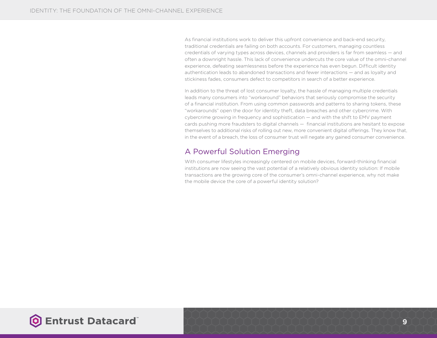As financial institutions work to deliver this upfront convenience and back-end security, traditional credentials are failing on both accounts. For customers, managing countless credentials of varying types across devices, channels and providers is far from seamless — and often a downright hassle. This lack of convenience undercuts the core value of the omni-channel experience, defeating seamlessness before the experience has even begun. Difficult identity authentication leads to abandoned transactions and fewer interactions — and as loyalty and stickiness fades, consumers defect to competitors in search of a better experience.

In addition to the threat of lost consumer loyalty, the hassle of managing multiple credentials leads many consumers into "workaround" behaviors that seriously compromise the security of a financial institution. From using common passwords and patterns to sharing tokens, these "workarounds" open the door for identity theft, data breaches and other cybercrime. With cybercrime growing in frequency and sophistication — and with the shift to EMV payment cards pushing more fraudsters to digital channels — financial institutions are hesitant to expose themselves to additional risks of rolling out new, more convenient digital offerings. They know that, in the event of a breach, the loss of consumer trust will negate any gained consumer convenience.

### A Powerful Solution Emerging

With consumer lifestyles increasingly centered on mobile devices, forward-thinking financial institutions are now seeing the vast potential of a relatively obvious identity solution: If mobile transactions are the growing core of the consumer's omni-channel experience, why not make the mobile device the core of a powerful identity solution?

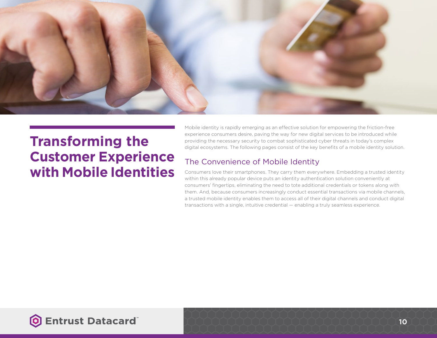

## **Transforming the Customer Experience with Mobile Identities**

Mobile identity is rapidly emerging as an effective solution for empowering the friction-free experience consumers desire, paving the way for new digital services to be introduced while providing the necessary security to combat sophisticated cyber threats in today's complex digital ecosystems. The following pages consist of the key benefits of a mobile identity solution.

### The Convenience of Mobile Identity

Consumers love their smartphones. They carry them everywhere. Embedding a trusted identity within this already popular device puts an identity authentication solution conveniently at consumers' fingertips, eliminating the need to tote additional credentials or tokens along with them. And, because consumers increasingly conduct essential transactions via mobile channels, a trusted mobile identity enables them to access all of their digital channels and conduct digital transactions with a single, intuitive credential — enabling a truly seamless experience.

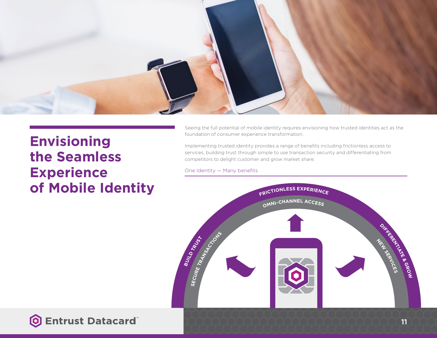

## **Envisioning the Seamless Experience of Mobile Identity**

Seeing the full potential of mobile identity requires envisioning how trusted identities act as the foundation of consumer experience transformation.

Implementing trusted identity provides a range of benefits including frictionless access to services, building trust through simple to use transaction security and differentiating from competitors to delight customer and grow market share.

One Identity — Many benefits



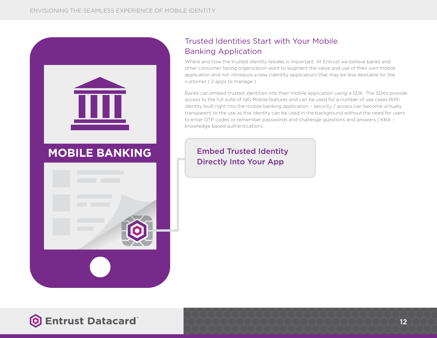

### Trusted Identities Start with Your Mobile Banking Application

Where and how the trusted identity resides is important. At Entrust we believe banks and other consumer facing organization want to augment the value and use of their own mobile application and not introduce a new (identity application) that may be less desirable for the customer ( 2 apps to manage ).

Banks can embed trusted identities into their mobile application using a SDK. The SDKs provide access to the full suite of IdG Mobile features and can be used for a number of use cases.With identity built right into the mobile banking application – security / access can become virtually transparent to the use as this identity can be used in the background without the need for users to enter OTP codes or remember passwords and challenge questions and answers ( KBA – knowledge based authentication).

# Directly Into Your App

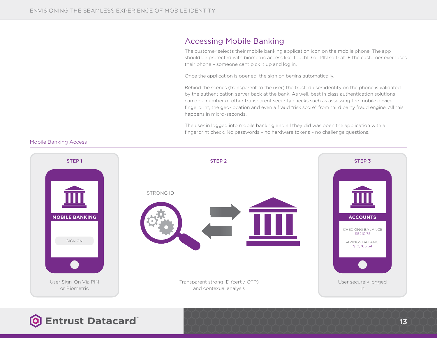### Accessing Mobile Banking

The customer selects their mobile banking application icon on the mobile phone. The app should be protected with biometric access like TouchID or PIN so that IF the customer ever loses their phone – someone cant pick it up and log in.

Once the application is opened, the sign on begins automatically.

Behind the scenes (transparent to the user) the trusted user identity on the phone is validated by the authentication server back at the bank. As well, best in class authentication solutions can do a number of other transparent security checks such as assessing the mobile device fingerprint, the geo-location and even a fraud "risk score" from third party fraud engine. All this happens in micro-seconds.

**13**

The user in logged into mobile banking and all they did was open the application with a fingerprint check. No passwords – no hardware tokens – no challenge questions…



#### Mobile Banking Access

**O** Entrust Datacard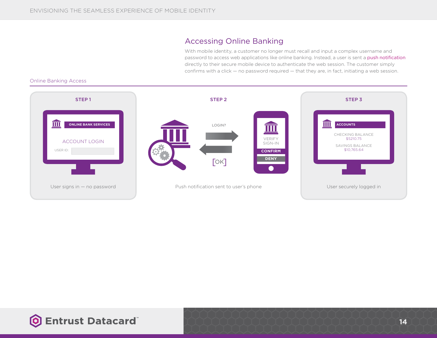#### Accessing Online Banking

With mobile identity, a customer no longer must recall and input a complex username and password to access web applications like online banking. Instead, a user is sent a [push notification](http://searchmobilecomputing.techtarget.com/definition/push-notification) directly to their secure mobile device to authenticate the web session. The customer simply confirms with a click — no password required — that they are, in fact, initiating a web session.



#### Online Banking Access

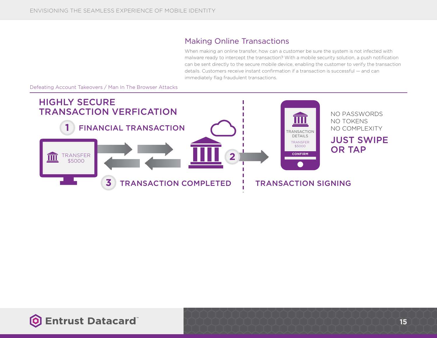#### Making Online Transactions

When making an online transfer, how can a customer be sure the system is not infected with malware ready to intercept the transaction? With a mobile security solution, a push notification can be sent directly to the secure mobile device, enabling the customer to verify the transaction details. Customers receive instant confirmation if a transaction is successful — and can immediately flag fraudulent transactions.

Defeating Account Takeovers / Man In The Browser Attacks



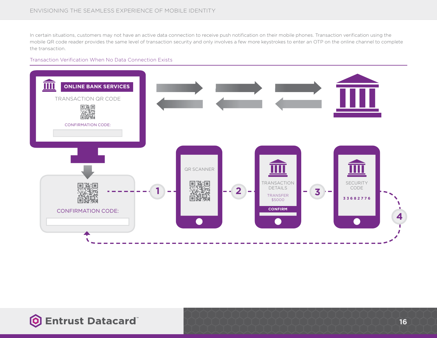In certain situations, customers may not have an active data connection to receive push notification on their mobile phones. Transaction verification using the mobile QR code reader provides the same level of transaction security and only involves a few more keystrokes to enter an OTP on the online channel to complete the transaction.

#### Transaction Verification When No Data Connection Exists



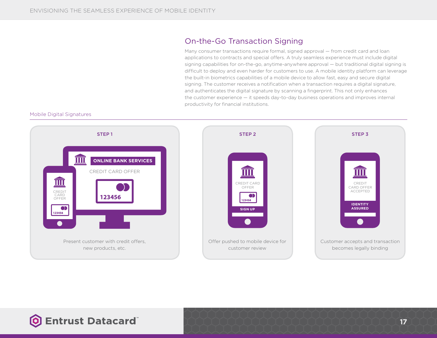### On-the-Go Transaction Signing

Many consumer transactions require formal, signed approval — from credit card and loan applications to contracts and special offers. A truly seamless experience must include digital signing capabilities for on-the-go, anytime-anywhere approval — but traditional digital signing is difficult to deploy and even harder for customers to use. A mobile identity platform can leverage the built-in biometrics capabilities of a mobile device to allow fast, easy and secure digital signing. The customer receives a notification when a transaction requires a digital signature, and authenticates the digital signature by scanning a fingerprint. This not only enhances the customer experience — it speeds day-to-day business operations and improves internal productivity for financial institutions.

#### Mobile Digital Signatures



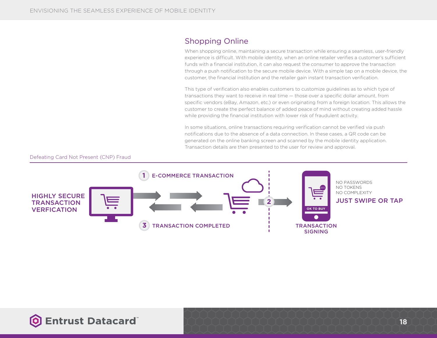### Shopping Online

When shopping online, maintaining a secure transaction while ensuring a seamless, user-friendly experience is difficult. With mobile identity, when an online retailer verifies a customer's sufficient funds with a financial institution, it can also request the consumer to approve the transaction through a push notification to the secure mobile device. With a simple tap on a mobile device, the customer, the financial institution and the retailer gain instant transaction verification.

This type of verification also enables customers to customize guidelines as to which type of transactions they want to receive in real time — those over a specific dollar amount, from specific vendors (eBay, Amazon, etc.) or even originating from a foreign location. This allows the customer to create the perfect balance of added peace of mind without creating added hassle while providing the financial institution with lower risk of fraudulent activity.

In some situations, online transactions requiring verification cannot be verified via push notifications due to the absence of a data connection. In these cases, a QR code can be generated on the online banking screen and scanned by the mobile identity application. Transaction details are then presented to the user for review and approval.

#### Defeating Card Not Present (CNP) Fraud



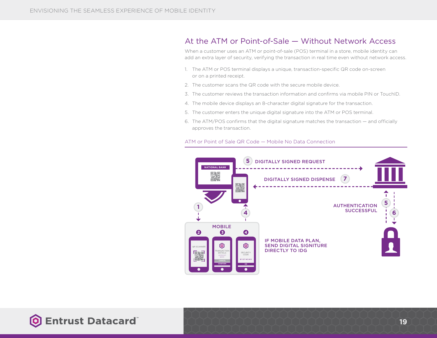### At the ATM or Point-of-Sale — Without Network Access

When a customer uses an ATM or point-of-sale (POS) terminal in a store, mobile identity can add an extra layer of security, verifying the transaction in real time even without network access.

- 1. The ATM or POS terminal displays a unique, transaction-specific QR code on-screen or on a printed receipt.
- 2. The customer scans the QR code with the secure mobile device.
- 3. The customer reviews the transaction information and confirms via mobile PIN or TouchID.
- 4. The mobile device displays an 8-character digital signature for the transaction.
- 5. The customer enters the unique digital signature into the ATM or POS terminal.
- 6. The ATM/POS confirms that the digital signature matches the transaction and officially approves the transaction.

#### ATM or Point of Sale QR Code — Mobile No Data Connection



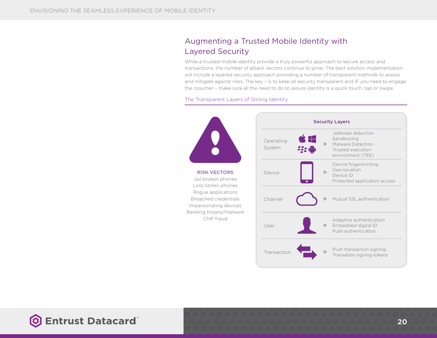### Augmenting a Trusted Mobile Identity with Layered Security

While a trusted mobile identity provide a truly powerful approach to secure access and transactions, the number of attack vectors continue to grow. The best solution implementation will include a layered security approach providing a number of transparent methods to assess and mitigate against risks. The key – is to keep all security transparent and IF you need to engage the cosumer – make sure all the need to do to assure identity is a quick touch, tap or swipe.

#### The Transparent Layers of Strong Identity



RISK VECTORS Jail broken phones Lost/stolen phones Rogue applications Breached credentials Impersonating devices Banking trojans/malware CNP fraud



### **O** Entrust Datacard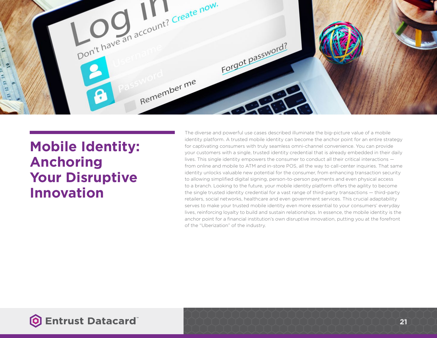

## **Mobile Identity: Anchoring Your Disruptive Innovation**

The diverse and powerful use cases described illuminate the big-picture value of a mobile identity platform. A trusted mobile identity can become the anchor point for an entire strategy for captivating consumers with truly seamless omni-channel convenience. You can provide your customers with a single, trusted identity credential that is already embedded in their daily lives. This single identity empowers the consumer to conduct all their critical interactions from online and mobile to ATM and in-store POS, all the way to call-center inquiries. That same identity unlocks valuable new potential for the consumer, from enhancing transaction security to allowing simplified digital signing, person-to-person payments and even physical access to a branch. Looking to the future, your mobile identity platform offers the agility to become the single trusted identity credential for a vast range of third-party transactions — third-party retailers, social networks, healthcare and even government services. This crucial adaptability serves to make your trusted mobile identity even more essential to your consumers' everyday lives, reinforcing loyalty to build and sustain relationships. In essence, the mobile identity is the anchor point for a financial institution's own disruptive innovation, putting you at the forefront of the "Uberization" of the industry.

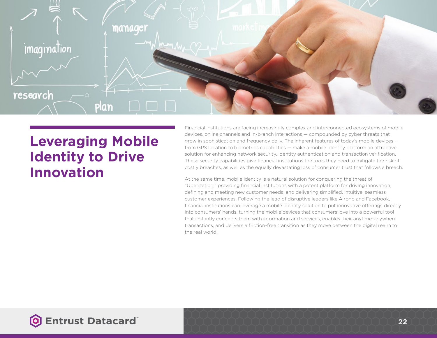

## **Leveraging Mobile Identity to Drive Innovation**

Financial institutions are facing increasingly complex and interconnected ecosystems of mobile devices, online channels and in-branch interactions — compounded by cyber threats that grow in sophistication and frequency daily. The inherent features of today's mobile devices from GPS location to biometrics capabilities — make a mobile identity platform an attractive solution for enhancing network security, identity authentication and transaction verification. These security capabilities give financial institutions the tools they need to mitigate the risk of costly breaches, as well as the equally devastating loss of consumer trust that follows a breach.

At the same time, mobile identity is a natural solution for conquering the threat of "Uberization," providing financial institutions with a potent platform for driving innovation, defining and meeting new customer needs, and delivering simplified, intuitive, seamless customer experiences. Following the lead of disruptive leaders like Airbnb and Facebook, financial institutions can leverage a mobile identity solution to put innovative offerings directly into consumers' hands, turning the mobile devices that consumers love into a powerful tool that instantly connects them with information and services, enables their anytime-anywhere transactions, and delivers a friction-free transition as they move between the digital realm to the real world.